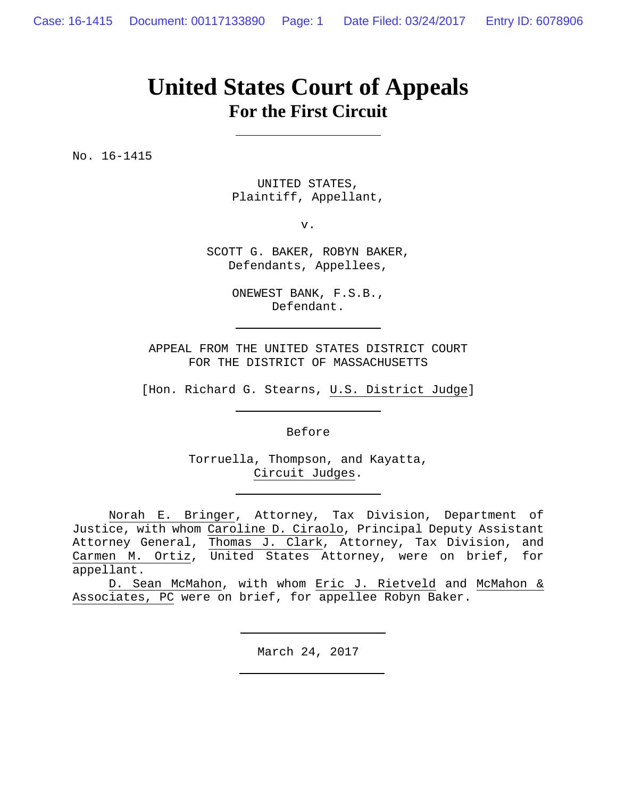# **United States Court of Appeals For the First Circuit**

No. 16-1415

UNITED STATES, Plaintiff, Appellant,

v.

SCOTT G. BAKER, ROBYN BAKER, Defendants, Appellees,

> ONEWEST BANK, F.S.B., Defendant.

APPEAL FROM THE UNITED STATES DISTRICT COURT FOR THE DISTRICT OF MASSACHUSETTS

[Hon. Richard G. Stearns, U.S. District Judge]

Before

Torruella, Thompson, and Kayatta, Circuit Judges.

Norah E. Bringer, Attorney, Tax Division, Department of Justice, with whom Caroline D. Ciraolo, Principal Deputy Assistant Attorney General, Thomas J. Clark, Attorney, Tax Division, and Carmen M. Ortiz, United States Attorney, were on brief, for appellant.

D. Sean McMahon, with whom Eric J. Rietveld and McMahon & Associates, PC were on brief, for appellee Robyn Baker.

March 24, 2017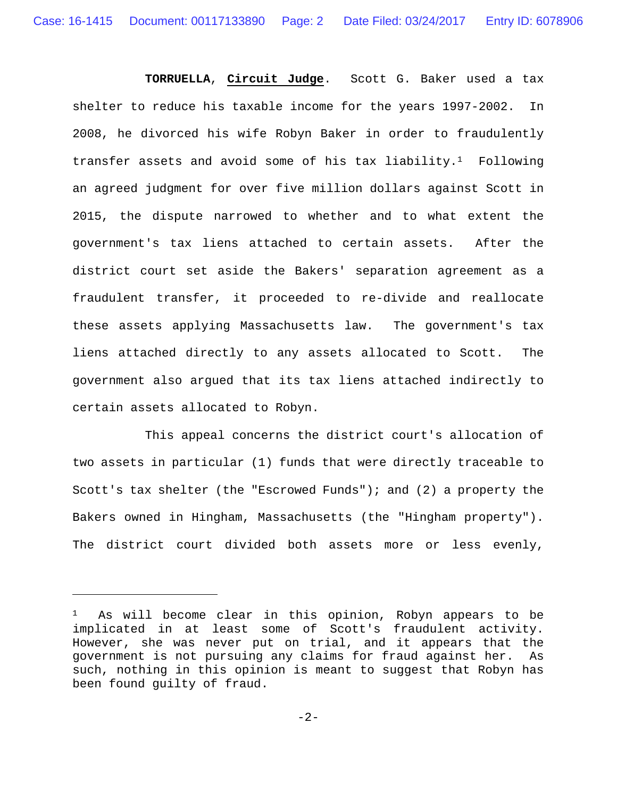**TORRUELLA**, **Circuit Judge**. Scott G. Baker used a tax shelter to reduce his taxable income for the years 1997-2002. In 2008, he divorced his wife Robyn Baker in order to fraudulently transfer assets and avoid some of his tax liability.<sup>1</sup> Following an agreed judgment for over five million dollars against Scott in 2015, the dispute narrowed to whether and to what extent the government's tax liens attached to certain assets. After the district court set aside the Bakers' separation agreement as a fraudulent transfer, it proceeded to re-divide and reallocate these assets applying Massachusetts law. The government's tax liens attached directly to any assets allocated to Scott. The government also argued that its tax liens attached indirectly to certain assets allocated to Robyn.

This appeal concerns the district court's allocation of two assets in particular (1) funds that were directly traceable to Scott's tax shelter (the "Escrowed Funds"); and (2) a property the Bakers owned in Hingham, Massachusetts (the "Hingham property"). The district court divided both assets more or less evenly,

 $\overline{\phantom{0}}$ 

As will become clear in this opinion, Robyn appears to be implicated in at least some of Scott's fraudulent activity. However, she was never put on trial, and it appears that the government is not pursuing any claims for fraud against her. As such, nothing in this opinion is meant to suggest that Robyn has been found guilty of fraud.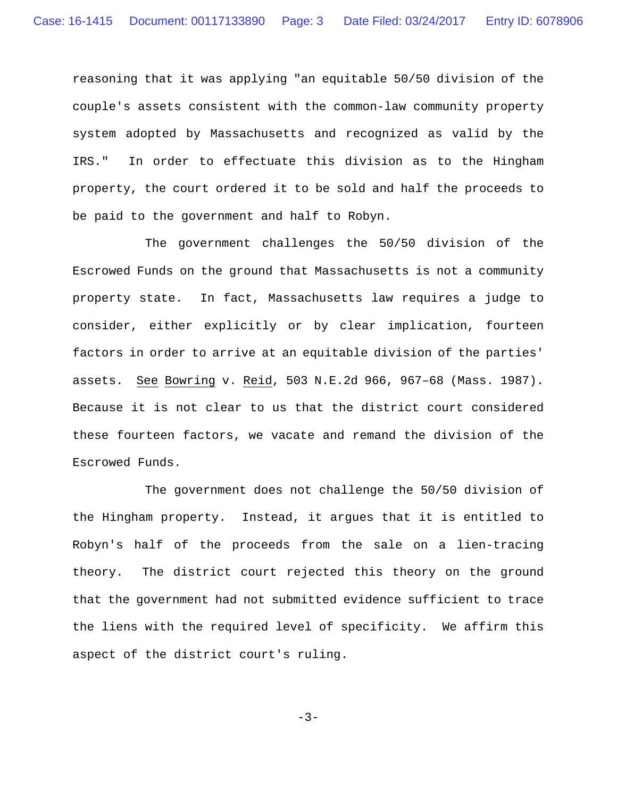reasoning that it was applying "an equitable 50/50 division of the couple's assets consistent with the common-law community property system adopted by Massachusetts and recognized as valid by the IRS." In order to effectuate this division as to the Hingham property, the court ordered it to be sold and half the proceeds to be paid to the government and half to Robyn.

The government challenges the 50/50 division of the Escrowed Funds on the ground that Massachusetts is not a community property state. In fact, Massachusetts law requires a judge to consider, either explicitly or by clear implication, fourteen factors in order to arrive at an equitable division of the parties' assets. See Bowring v. Reid, 503 N.E.2d 966, 967–68 (Mass. 1987). Because it is not clear to us that the district court considered these fourteen factors, we vacate and remand the division of the Escrowed Funds.

The government does not challenge the 50/50 division of the Hingham property. Instead, it argues that it is entitled to Robyn's half of the proceeds from the sale on a lien-tracing theory. The district court rejected this theory on the ground that the government had not submitted evidence sufficient to trace the liens with the required level of specificity. We affirm this aspect of the district court's ruling.

 $-3-$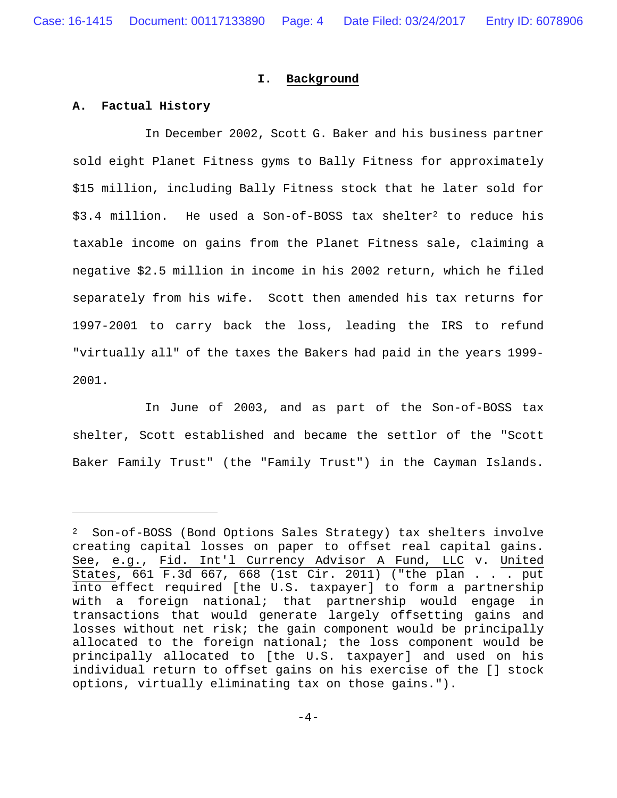Case: 16-1415 Document: 00117133890 Page: 4 Date Filed: 03/24/2017 Entry ID: 6078906

# **I. Background**

### **A. Factual History**

 $\overline{\phantom{0}}$ 

In December 2002, Scott G. Baker and his business partner sold eight Planet Fitness gyms to Bally Fitness for approximately \$15 million, including Bally Fitness stock that he later sold for \$3.4 million. He used a Son-of-BOSS tax shelter<sup>2</sup> to reduce his taxable income on gains from the Planet Fitness sale, claiming a negative \$2.5 million in income in his 2002 return, which he filed separately from his wife. Scott then amended his tax returns for 1997-2001 to carry back the loss, leading the IRS to refund "virtually all" of the taxes the Bakers had paid in the years 1999- 2001.

In June of 2003, and as part of the Son-of-BOSS tax shelter, Scott established and became the settlor of the "Scott Baker Family Trust" (the "Family Trust") in the Cayman Islands.

<sup>2</sup> Son-of-BOSS (Bond Options Sales Strategy) tax shelters involve creating capital losses on paper to offset real capital gains. See, e.g., Fid. Int'l Currency Advisor A Fund, LLC v. United States, 661 F.3d 667, 668 (1st Cir. 2011) ("the plan . . . put into effect required [the U.S. taxpayer] to form a partnership with a foreign national; that partnership would engage in transactions that would generate largely offsetting gains and losses without net risk; the gain component would be principally allocated to the foreign national; the loss component would be principally allocated to [the U.S. taxpayer] and used on his individual return to offset gains on his exercise of the [] stock options, virtually eliminating tax on those gains.").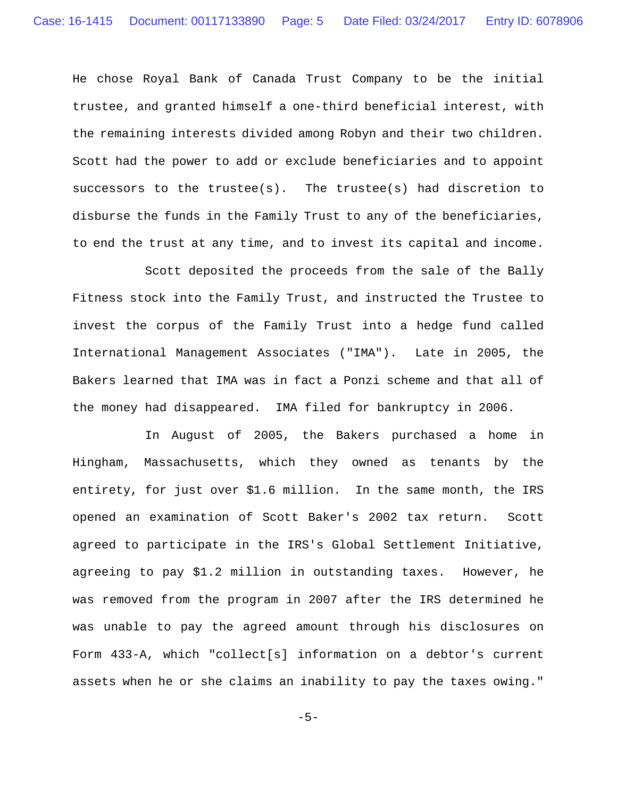He chose Royal Bank of Canada Trust Company to be the initial trustee, and granted himself a one-third beneficial interest, with the remaining interests divided among Robyn and their two children. Scott had the power to add or exclude beneficiaries and to appoint successors to the trustee(s). The trustee(s) had discretion to disburse the funds in the Family Trust to any of the beneficiaries, to end the trust at any time, and to invest its capital and income.

Scott deposited the proceeds from the sale of the Bally Fitness stock into the Family Trust, and instructed the Trustee to invest the corpus of the Family Trust into a hedge fund called International Management Associates ("IMA"). Late in 2005, the Bakers learned that IMA was in fact a Ponzi scheme and that all of the money had disappeared. IMA filed for bankruptcy in 2006.

In August of 2005, the Bakers purchased a home in Hingham, Massachusetts, which they owned as tenants by the entirety, for just over \$1.6 million. In the same month, the IRS opened an examination of Scott Baker's 2002 tax return. Scott agreed to participate in the IRS's Global Settlement Initiative, agreeing to pay \$1.2 million in outstanding taxes. However, he was removed from the program in 2007 after the IRS determined he was unable to pay the agreed amount through his disclosures on Form 433-A, which "collect[s] information on a debtor's current assets when he or she claims an inability to pay the taxes owing."

 $-5-$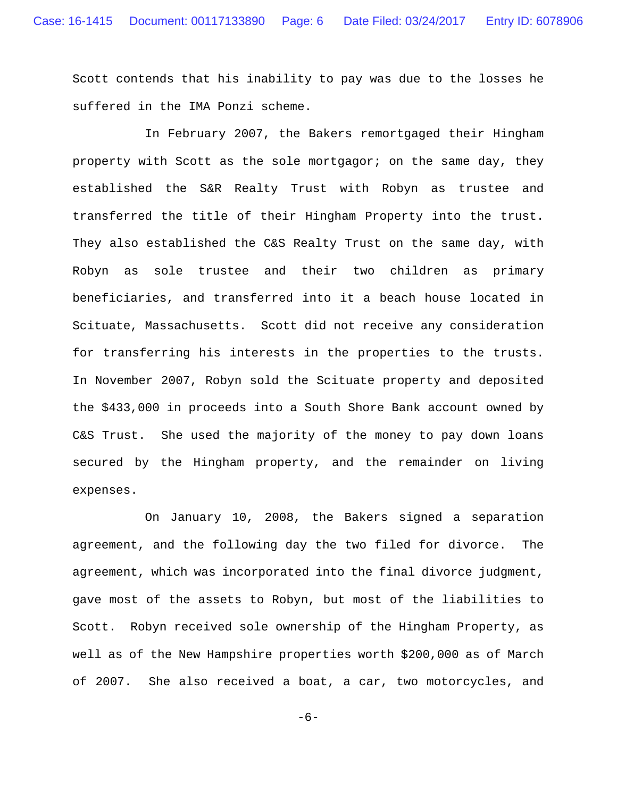Scott contends that his inability to pay was due to the losses he suffered in the IMA Ponzi scheme.

In February 2007, the Bakers remortgaged their Hingham property with Scott as the sole mortgagor; on the same day, they established the S&R Realty Trust with Robyn as trustee and transferred the title of their Hingham Property into the trust. They also established the C&S Realty Trust on the same day, with Robyn as sole trustee and their two children as primary beneficiaries, and transferred into it a beach house located in Scituate, Massachusetts.Scott did not receive any consideration for transferring his interests in the properties to the trusts. In November 2007, Robyn sold the Scituate property and deposited the \$433,000 in proceeds into a South Shore Bank account owned by C&S Trust. She used the majority of the money to pay down loans secured by the Hingham property, and the remainder on living expenses.

On January 10, 2008, the Bakers signed a separation agreement, and the following day the two filed for divorce. The agreement, which was incorporated into the final divorce judgment, gave most of the assets to Robyn, but most of the liabilities to Scott. Robyn received sole ownership of the Hingham Property, as well as of the New Hampshire properties worth \$200,000 as of March of 2007. She also received a boat, a car, two motorcycles, and

 $-6-$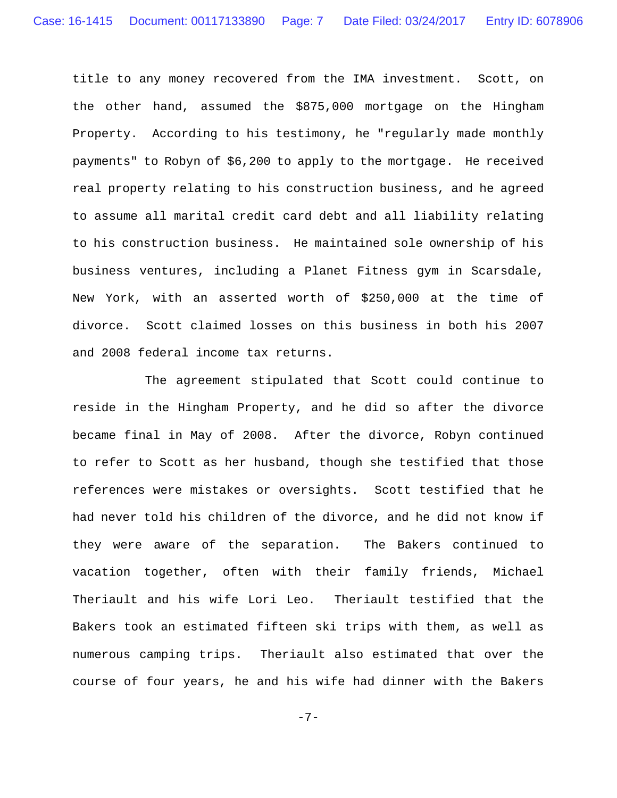title to any money recovered from the IMA investment. Scott, on the other hand, assumed the \$875,000 mortgage on the Hingham Property. According to his testimony, he "regularly made monthly payments" to Robyn of \$6,200 to apply to the mortgage. He received real property relating to his construction business, and he agreed to assume all marital credit card debt and all liability relating to his construction business. He maintained sole ownership of his business ventures, including a Planet Fitness gym in Scarsdale, New York, with an asserted worth of \$250,000 at the time of divorce. Scott claimed losses on this business in both his 2007 and 2008 federal income tax returns.

The agreement stipulated that Scott could continue to reside in the Hingham Property, and he did so after the divorce became final in May of 2008. After the divorce, Robyn continued to refer to Scott as her husband, though she testified that those references were mistakes or oversights. Scott testified that he had never told his children of the divorce, and he did not know if they were aware of the separation. The Bakers continued to vacation together, often with their family friends, Michael Theriault and his wife Lori Leo. Theriault testified that the Bakers took an estimated fifteen ski trips with them, as well as numerous camping trips. Theriault also estimated that over the course of four years, he and his wife had dinner with the Bakers

 $-7-$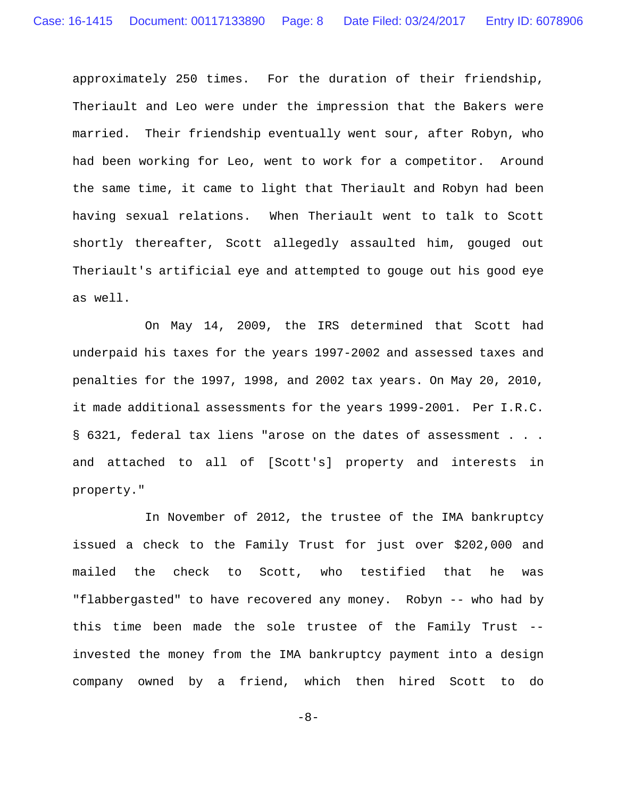approximately 250 times. For the duration of their friendship, Theriault and Leo were under the impression that the Bakers were married. Their friendship eventually went sour, after Robyn, who had been working for Leo, went to work for a competitor. Around the same time, it came to light that Theriault and Robyn had been having sexual relations. When Theriault went to talk to Scott shortly thereafter, Scott allegedly assaulted him, gouged out Theriault's artificial eye and attempted to gouge out his good eye as well.

On May 14, 2009, the IRS determined that Scott had underpaid his taxes for the years 1997-2002 and assessed taxes and penalties for the 1997, 1998, and 2002 tax years. On May 20, 2010, it made additional assessments for the years 1999-2001. Per I.R.C. § 6321, federal tax liens "arose on the dates of assessment . . . and attached to all of [Scott's] property and interests in property."

In November of 2012, the trustee of the IMA bankruptcy issued a check to the Family Trust for just over \$202,000 and mailed the check to Scott, who testified that he was "flabbergasted" to have recovered any money.Robyn -- who had by this time been made the sole trustee of the Family Trust - invested the money from the IMA bankruptcy payment into a design company owned by a friend, which then hired Scott to do

 $-8-$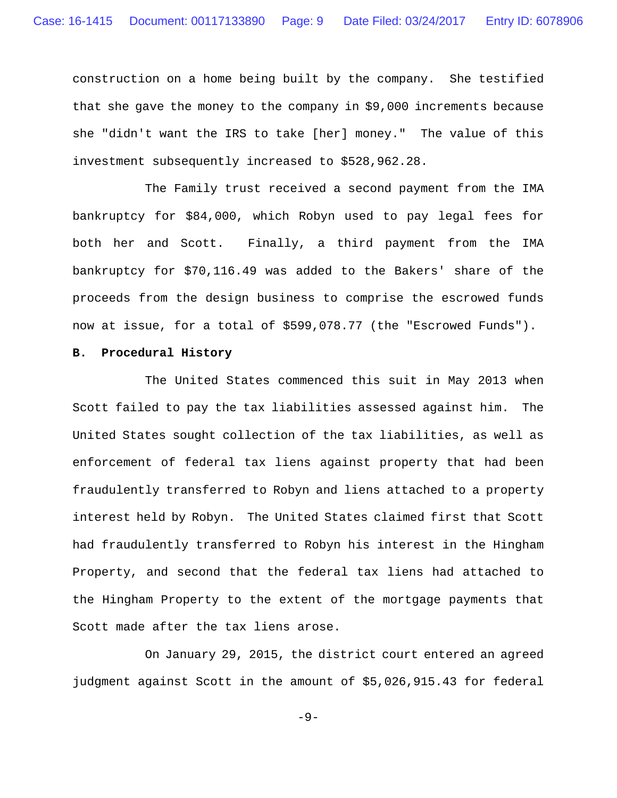construction on a home being built by the company. She testified that she gave the money to the company in \$9,000 increments because she "didn't want the IRS to take [her] money." The value of this investment subsequently increased to \$528,962.28.

The Family trust received a second payment from the IMA bankruptcy for \$84,000, which Robyn used to pay legal fees for both her and Scott. Finally, a third payment from the IMA bankruptcy for \$70,116.49 was added to the Bakers' share of the proceeds from the design business to comprise the escrowed funds now at issue, for a total of \$599,078.77 (the "Escrowed Funds").

## **B. Procedural History**

The United States commenced this suit in May 2013 when Scott failed to pay the tax liabilities assessed against him. The United States sought collection of the tax liabilities, as well as enforcement of federal tax liens against property that had been fraudulently transferred to Robyn and liens attached to a property interest held by Robyn. The United States claimed first that Scott had fraudulently transferred to Robyn his interest in the Hingham Property, and second that the federal tax liens had attached to the Hingham Property to the extent of the mortgage payments that Scott made after the tax liens arose.

On January 29, 2015, the district court entered an agreed judgment against Scott in the amount of \$5,026,915.43 for federal

-9-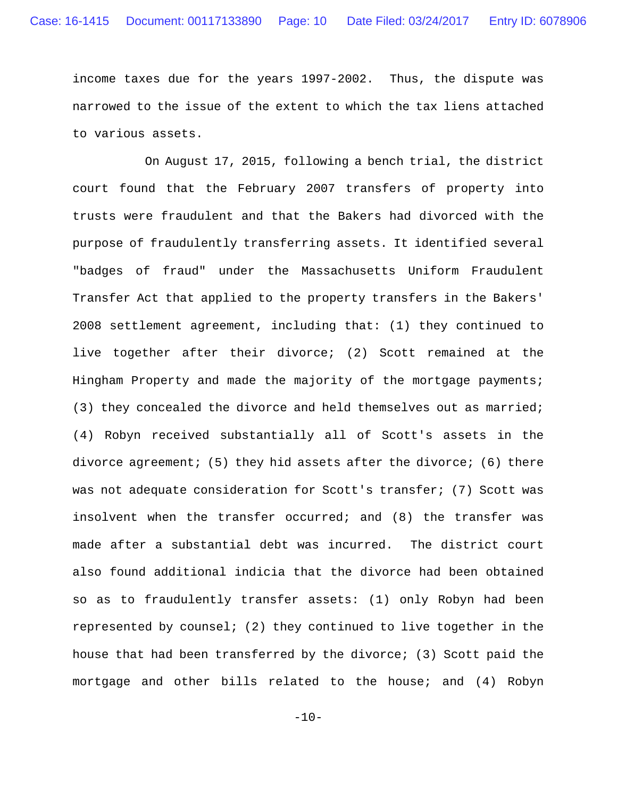income taxes due for the years 1997-2002. Thus, the dispute was narrowed to the issue of the extent to which the tax liens attached to various assets.

On August 17, 2015, following a bench trial, the district court found that the February 2007 transfers of property into trusts were fraudulent and that the Bakers had divorced with the purpose of fraudulently transferring assets. It identified several "badges of fraud" under the Massachusetts Uniform Fraudulent Transfer Act that applied to the property transfers in the Bakers' 2008 settlement agreement, including that: (1) they continued to live together after their divorce; (2) Scott remained at the Hingham Property and made the majority of the mortgage payments; (3) they concealed the divorce and held themselves out as married; (4) Robyn received substantially all of Scott's assets in the divorce agreement;  $(5)$  they hid assets after the divorce;  $(6)$  there was not adequate consideration for Scott's transfer; (7) Scott was insolvent when the transfer occurred; and (8) the transfer was made after a substantial debt was incurred. The district court also found additional indicia that the divorce had been obtained so as to fraudulently transfer assets: (1) only Robyn had been represented by counsel; (2) they continued to live together in the house that had been transferred by the divorce; (3) Scott paid the mortgage and other bills related to the house; and (4) Robyn

 $-10-$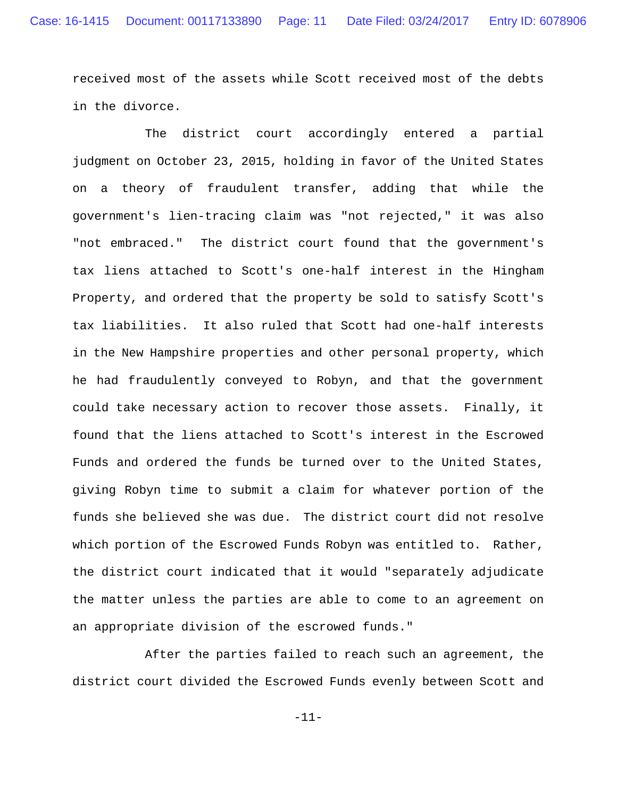received most of the assets while Scott received most of the debts in the divorce.

The district court accordingly entered a partial judgment on October 23, 2015, holding in favor of the United States on a theory of fraudulent transfer, adding that while the government's lien-tracing claim was "not rejected," it was also "not embraced." The district court found that the government's tax liens attached to Scott's one-half interest in the Hingham Property, and ordered that the property be sold to satisfy Scott's tax liabilities. It also ruled that Scott had one-half interests in the New Hampshire properties and other personal property, which he had fraudulently conveyed to Robyn, and that the government could take necessary action to recover those assets. Finally, it found that the liens attached to Scott's interest in the Escrowed Funds and ordered the funds be turned over to the United States, giving Robyn time to submit a claim for whatever portion of the funds she believed she was due. The district court did not resolve which portion of the Escrowed Funds Robyn was entitled to. Rather, the district court indicated that it would "separately adjudicate the matter unless the parties are able to come to an agreement on an appropriate division of the escrowed funds."

After the parties failed to reach such an agreement, the district court divided the Escrowed Funds evenly between Scott and

-11-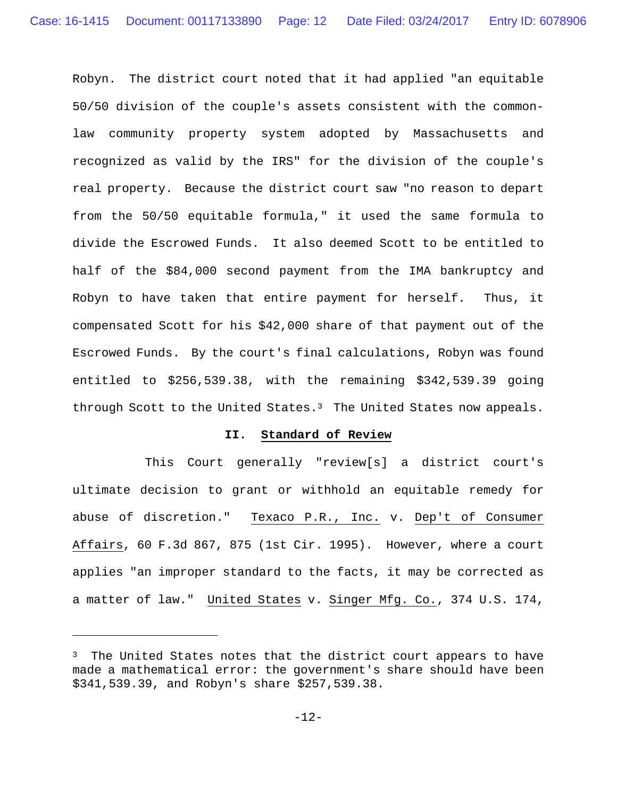Robyn. The district court noted that it had applied "an equitable 50/50 division of the couple's assets consistent with the commonlaw community property system adopted by Massachusetts and recognized as valid by the IRS" for the division of the couple's real property. Because the district court saw "no reason to depart from the 50/50 equitable formula," it used the same formula to divide the Escrowed Funds. It also deemed Scott to be entitled to half of the \$84,000 second payment from the IMA bankruptcy and Robyn to have taken that entire payment for herself. Thus, it compensated Scott for his \$42,000 share of that payment out of the Escrowed Funds. By the court's final calculations, Robyn was found entitled to \$256,539.38, with the remaining \$342,539.39 going through Scott to the United States.<sup>3</sup> The United States now appeals.

## **II. Standard of Review**

This Court generally "review[s] a district court's ultimate decision to grant or withhold an equitable remedy for abuse of discretion." Texaco P.R., Inc. v. Dep't of Consumer Affairs, 60 F.3d 867, 875 (1st Cir. 1995). However, where a court applies "an improper standard to the facts, it may be corrected as a matter of law." United States v. Singer Mfg. Co., 374 U.S. 174,

i

 $3$  The United States notes that the district court appears to have made a mathematical error: the government's share should have been \$341,539.39, and Robyn's share \$257,539.38.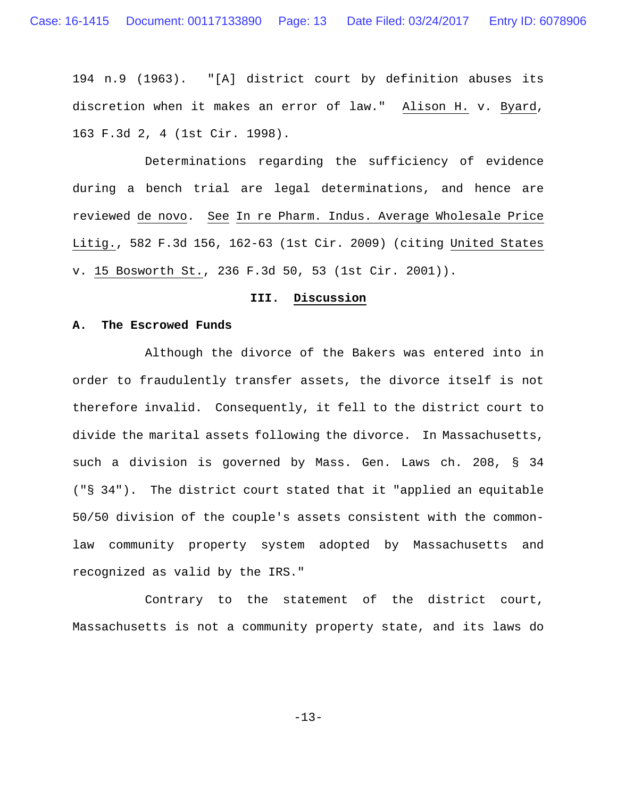194 n.9 (1963). "[A] district court by definition abuses its discretion when it makes an error of law." Alison H. v. Byard, 163 F.3d 2, 4 (1st Cir. 1998).

Determinations regarding the sufficiency of evidence during a bench trial are legal determinations, and hence are reviewed de novo. See In re Pharm. Indus. Average Wholesale Price Litig., 582 F.3d 156, 162-63 (1st Cir. 2009) (citing United States v. 15 Bosworth St., 236 F.3d 50, 53 (1st Cir. 2001)).

# **III. Discussion**

## **A. The Escrowed Funds**

Although the divorce of the Bakers was entered into in order to fraudulently transfer assets, the divorce itself is not therefore invalid. Consequently, it fell to the district court to divide the marital assets following the divorce. In Massachusetts, such a division is governed by Mass. Gen. Laws ch. 208, § 34 ("§ 34"). The district court stated that it "applied an equitable 50/50 division of the couple's assets consistent with the commonlaw community property system adopted by Massachusetts and recognized as valid by the IRS."

Contrary to the statement of the district court, Massachusetts is not a community property state, and its laws do

 $-13-$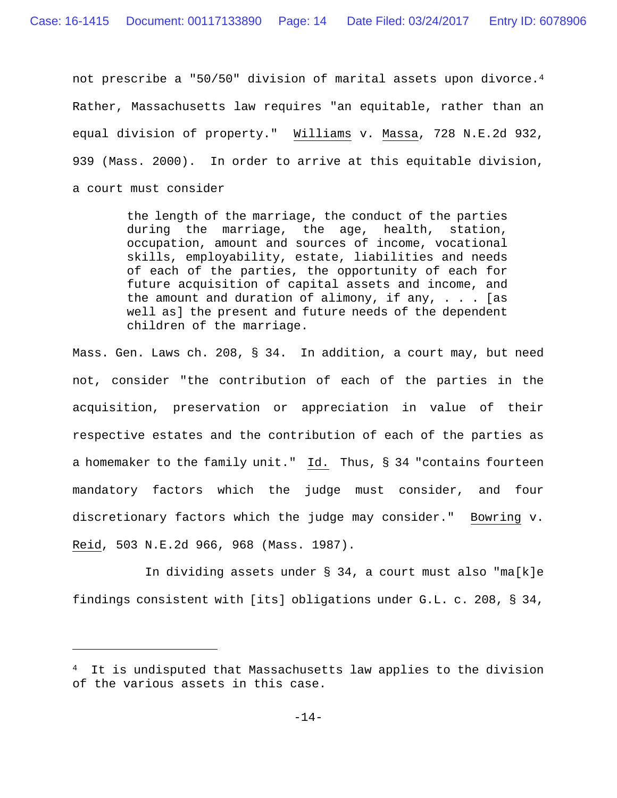not prescribe a "50/50" division of marital assets upon divorce.4 Rather, Massachusetts law requires "an equitable, rather than an equal division of property." Williams v. Massa, 728 N.E.2d 932, 939 (Mass. 2000). In order to arrive at this equitable division, a court must consider

> the length of the marriage, the conduct of the parties during the marriage, the age, health, station, occupation, amount and sources of income, vocational skills, employability, estate, liabilities and needs of each of the parties, the opportunity of each for future acquisition of capital assets and income, and the amount and duration of alimony, if any,  $\ldots$  [as well as] the present and future needs of the dependent children of the marriage.

Mass. Gen. Laws ch. 208, § 34. In addition, a court may, but need not, consider "the contribution of each of the parties in the acquisition, preservation or appreciation in value of their respective estates and the contribution of each of the parties as a homemaker to the family unit." Id. Thus, § 34 "contains fourteen mandatory factors which the judge must consider, and four discretionary factors which the judge may consider." Bowring v. Reid, 503 N.E.2d 966, 968 (Mass. 1987).

In dividing assets under § 34, a court must also "ma[k]e findings consistent with [its] obligations under G.L. c. 208, § 34,

i<br>Li

<sup>4</sup> It is undisputed that Massachusetts law applies to the division of the various assets in this case.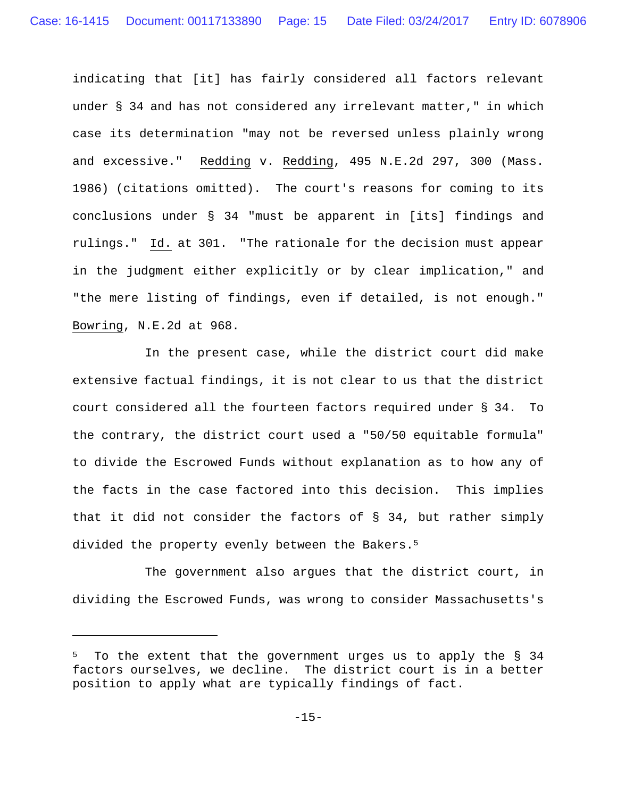indicating that [it] has fairly considered all factors relevant under § 34 and has not considered any irrelevant matter," in which case its determination "may not be reversed unless plainly wrong and excessive." Redding v. Redding, 495 N.E.2d 297, 300 (Mass. 1986) (citations omitted). The court's reasons for coming to its conclusions under § 34 "must be apparent in [its] findings and rulings." Id. at 301. "The rationale for the decision must appear in the judgment either explicitly or by clear implication," and "the mere listing of findings, even if detailed, is not enough." Bowring, N.E.2d at 968.

In the present case, while the district court did make extensive factual findings, it is not clear to us that the district court considered all the fourteen factors required under § 34. To the contrary, the district court used a "50/50 equitable formula" to divide the Escrowed Funds without explanation as to how any of the facts in the case factored into this decision. This implies that it did not consider the factors of § 34, but rather simply divided the property evenly between the Bakers.5

The government also argues that the district court, in dividing the Escrowed Funds, was wrong to consider Massachusetts's

i

 $5$  To the extent that the government urges us to apply the  $\S$  34 factors ourselves, we decline. The district court is in a better position to apply what are typically findings of fact.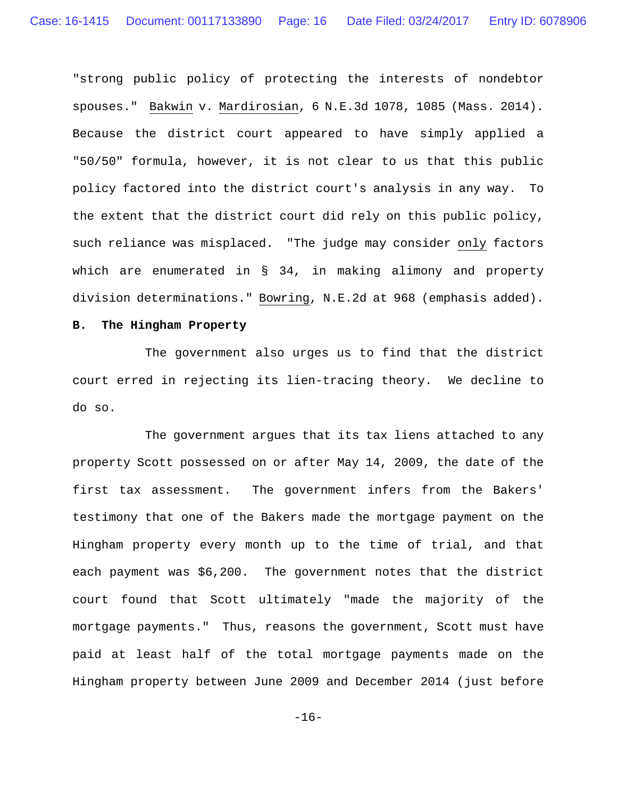"strong public policy of protecting the interests of nondebtor spouses." Bakwin v. Mardirosian, 6 N.E.3d 1078, 1085 (Mass. 2014). Because the district court appeared to have simply applied a "50/50" formula, however, it is not clear to us that this public policy factored into the district court's analysis in any way. To the extent that the district court did rely on this public policy, such reliance was misplaced. "The judge may consider only factors which are enumerated in § 34, in making alimony and property division determinations." Bowring, N.E.2d at 968 (emphasis added).

#### **B. The Hingham Property**

The government also urges us to find that the district court erred in rejecting its lien-tracing theory. We decline to do so.

The government argues that its tax liens attached to any property Scott possessed on or after May 14, 2009, the date of the first tax assessment. The government infers from the Bakers' testimony that one of the Bakers made the mortgage payment on the Hingham property every month up to the time of trial, and that each payment was \$6,200. The government notes that the district court found that Scott ultimately "made the majority of the mortgage payments." Thus, reasons the government, Scott must have paid at least half of the total mortgage payments made on the Hingham property between June 2009 and December 2014 (just before

 $-16-$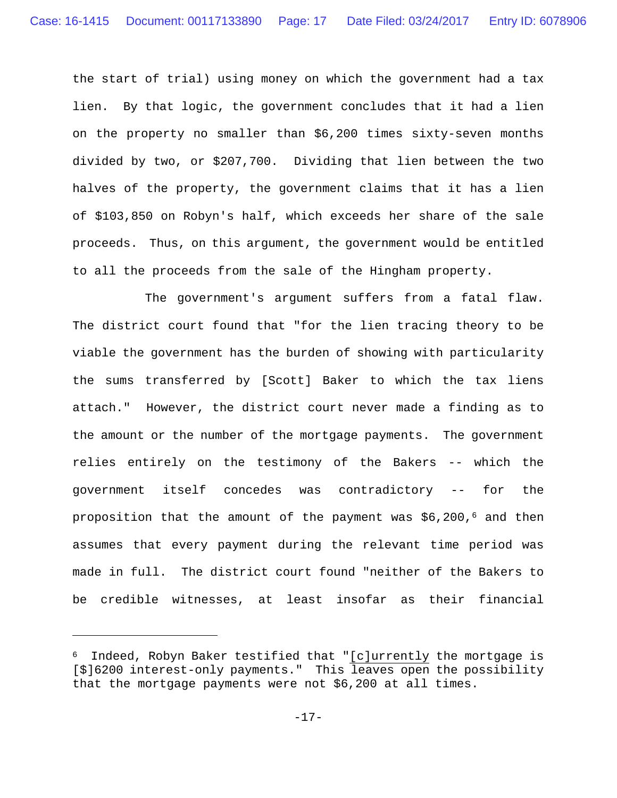the start of trial) using money on which the government had a tax lien. By that logic, the government concludes that it had a lien on the property no smaller than \$6,200 times sixty-seven months divided by two, or \$207,700. Dividing that lien between the two halves of the property, the government claims that it has a lien of \$103,850 on Robyn's half, which exceeds her share of the sale proceeds. Thus, on this argument, the government would be entitled to all the proceeds from the sale of the Hingham property.

The government's argument suffers from a fatal flaw. The district court found that "for the lien tracing theory to be viable the government has the burden of showing with particularity the sums transferred by [Scott] Baker to which the tax liens attach." However, the district court never made a finding as to the amount or the number of the mortgage payments. The government relies entirely on the testimony of the Bakers -- which the government itself concedes was contradictory -- for the proposition that the amount of the payment was  $$6,200,$ <sup>6</sup> and then assumes that every payment during the relevant time period was made in full. The district court found "neither of the Bakers to be credible witnesses, at least insofar as their financial

 $\overline{\phantom{0}}$ 

<sup>6</sup> Indeed, Robyn Baker testified that "[c]urrently the mortgage is [\$]6200 interest-only payments." This leaves open the possibility that the mortgage payments were not \$6,200 at all times.